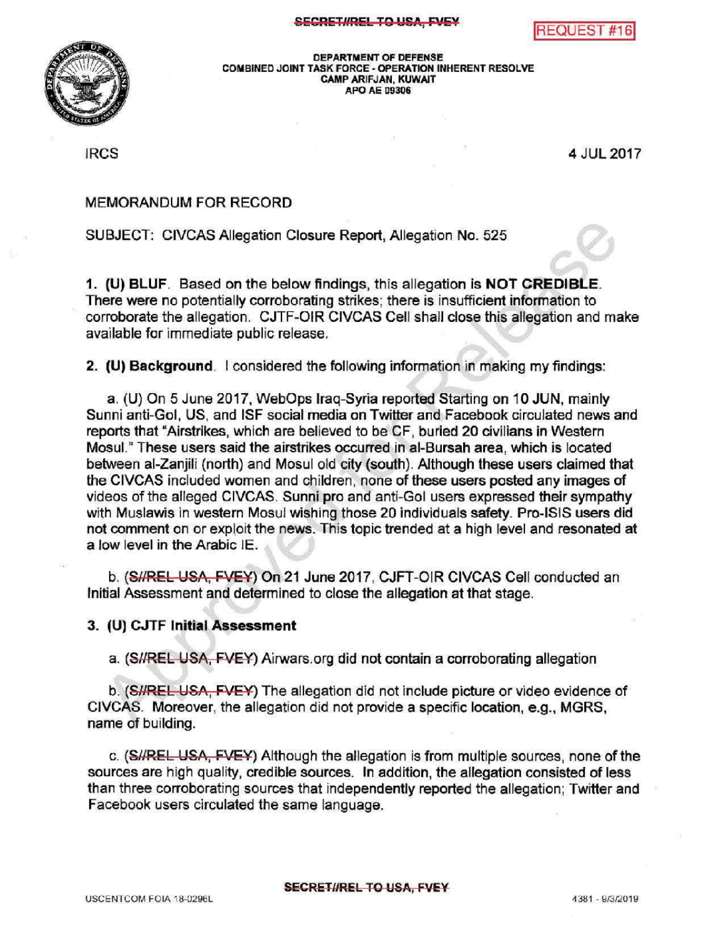



DEPARTMENT OF DEFENSE COMBINED JOINT TASK FORCE - OPERATION INHERENT RESOLVE CAMPARIFJAN, KUWAIT APO AE 09306

IRCS <sup>4</sup> JUL 2017

## MEMORANDUM FOR RECORD

SUBJECT: CIVCAS Allegation Closure Report, Allegation No. 525

1. (U) BLUF. Based on the below findings, this allegation is NOT CREDIBLE. There were no potentially corroborating strikes; there is insufficient information to corroborate the allegation. CJTF-OIR CIVCAS Cell shall close this allegation and make available for immediate public release.

2. (U) Background. I considered the following information in making my findings:

a. (U) On 5 June 2017, WebOps Iraq-Syria reported Starting on 10 JUN, mainly Sunni anti-Gol, US, and ISF social media on Twitter and Facebook circulated news and reports that "Airstrikes, which are believed to be CF, buried 20 civilians in Western Mosul." These users said the airstrikes occurred in al-Bursah area, which is located between al-Zanjili (north) and Mosul old city (south). Although these users claimed that the CIVCAS included women and children, none of these users posted any images of videos of the alleged CIVCAS. Sunni pro and anti- Gol users expressed their sympathy with Muslawis in western Mosul wishing those 20 individuals safety. Pro-ISIS users did not comment on or exploit the news. This topic trended at a high level and resonated at a low level in the Arabic IE.

b. (S//REL-USA, FVEY) On 21 June 2017, CJFT-OIR CIVCAS Cell conducted an Initial Assessment and determined to close the allegation at that stage.

## 3. (U) CJTF Initial Assessment

a. (SI/REL USA, FVEY) Airwars.org did not contain a corroborating allegation

b. (SHREL USA, FVEY) The allegation did not include picture or video evidence of CIVCAS. Moreover, the allegation did not provide a specific location, e.g., MGRS name of building.

c. (S//REL USA, FVEY) Although the allegation is from multiple sources, none of the sources are high quality, credible sources. In addition, the allegation consisted of less than three corroborating sources that independently reported the allegation; Twitter and Facebook users circulated the same language.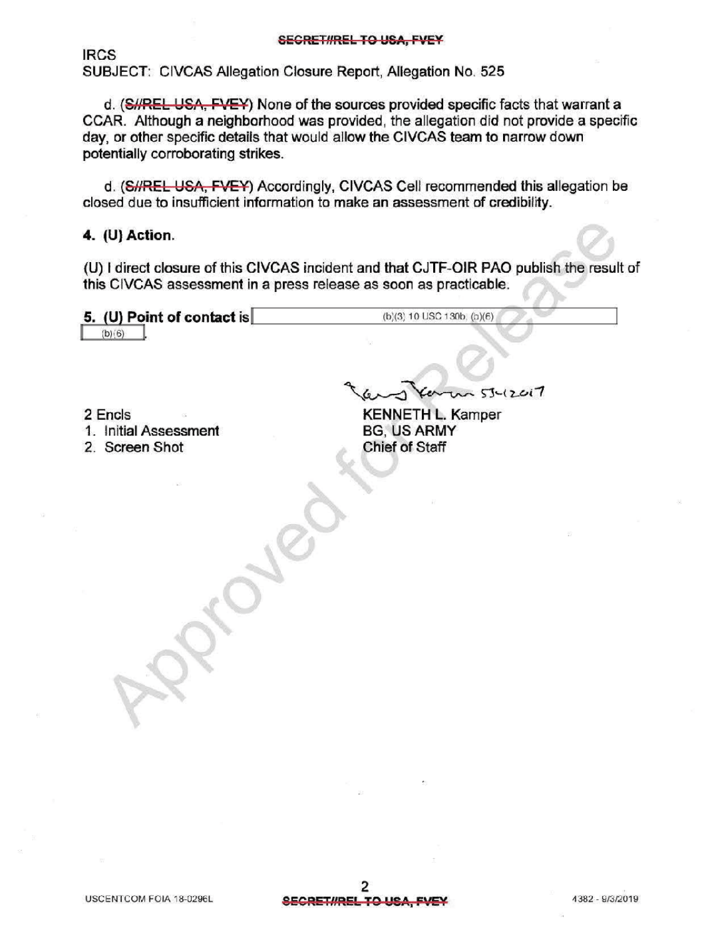IRCS SUBJECT: CIVCAS Allegation Closure Report, Allegation No. 525

d. (S//REL USA, FVEY) None of the sources provided specific facts that warrant a CCAR . Although a neighborhood was provided, the allegation did not provide a specific day, or other specific details that would allow the CIVCAS team to narrow down potentially corroborating strikes .

d. (S//REL USA, FVEY) Accordingly, CIVCAS Cell recommended this allegation be closed due to insufficient information to make an assessment of credibility.

## 4.  $(U)$  Action.

(U) direct closure of this CIVCAS incident and that CJTF-OIR PAO publish the result of this CIVCAS assessment in a press release as soon as practicable.

5. (U) Point of contact is  $(b)(3) 10 USC 130b$ ,  $(b)(6)$  $(b)(6)$ 

<sup>2</sup> Encls

1. InitialAssessment

2. Screen Shot

 $2017$ 

KENNETH L. Kamper BG, US ARMY **Chief of Staff**